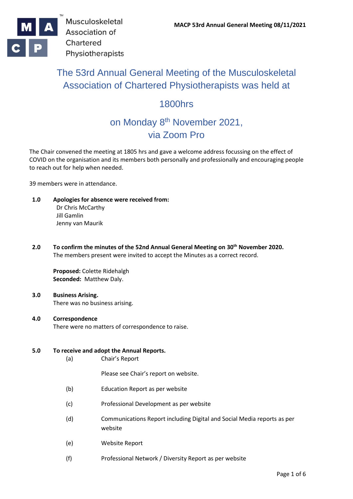

# The 53rd Annual General Meeting of the Musculoskeletal Association of Chartered Physiotherapists was held at

# 1800hrs

# on Monday 8<sup>th</sup> November 2021, via Zoom Pro

The Chair convened the meeting at 1805 hrs and gave a welcome address focussing on the effect of COVID on the organisation and its members both personally and professionally and encouraging people to reach out for help when needed.

39 members were in attendance.

- **1.0 Apologies for absence were received from:** Dr Chris McCarthy Jill Gamlin Jenny van Maurik
- **2.0 To confirm the minutes of the 52nd Annual General Meeting on 30th November 2020.** The members present were invited to accept the Minutes as a correct record.

**Proposed:** Colette Ridehalgh **Seconded:** Matthew Daly.

**3.0 Business Arising.** There was no business arising.

#### **4.0 Correspondence** There were no matters of correspondence to raise.

# **5.0 To receive and adopt the Annual Reports.**

(a) Chair's Report

Please see Chair's report on website.

- (b) Education Report as per website
- (c) Professional Development as per website
- (d) Communications Report including Digital and Social Media reports as per website
- (e) Website Report
- (f) Professional Network / Diversity Report as per website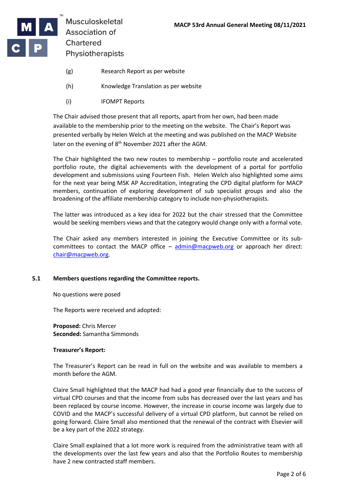

- (g) Research Report as per website
- (h) Knowledge Translation as per website
- (i) IFOMPT Reports

The Chair advised those present that all reports, apart from her own, had been made available to the membership prior to the meeting on the website. The Chair's Report was presented verbally by Helen Welch at the meeting and was published on the MACP Website later on the evening of 8<sup>th</sup> November 2021 after the AGM.

The Chair highlighted the two new routes to membership – portfolio route and accelerated portfolio route, the digital achievements with the development of a portal for portfolio development and submissions using Fourteen Fish. Helen Welch also highlighted some aims for the next year being MSK AP Accreditation, integrating the CPD digital platform for MACP members, continuation of exploring development of sub specialist groups and also the broadening of the affiliate membership category to include non-physiotherapists.

The latter was introduced as a key idea for 2022 but the chair stressed that the Committee would be seeking members views and that the category would change only with a formal vote.

The Chair asked any members interested in joining the Executive Committee or its subcommittees to contact the MACP office  $-$  [admin@macpweb.org](mailto:admin@macpweb.org) or approach her direct: [chair@macpweb.org.](mailto:chair@macpweb.org)

# **5.1 Members questions regarding the Committee reports.**

No questions were posed

The Reports were received and adopted:

**Proposed:** Chris Mercer **Seconded:** Samantha Simmonds

# **Treasurer's Report:**

The Treasurer's Report can be read in full on the website and was available to members a month before the AGM.

Claire Small highlighted that the MACP had had a good year financially due to the success of virtual CPD courses and that the income from subs has decreased over the last years and has been replaced by course income. However, the increase in course income was largely due to COVID and the MACP's successful delivery of a virtual CPD platform, but cannot be relied on going forward. Claire Small also mentioned that the renewal of the contract with Elsevier will be a key part of the 2022 strategy.

Claire Small explained that a lot more work is required from the administrative team with all the developments over the last few years and also that the Portfolio Routes to membership have 2 new contracted staff members.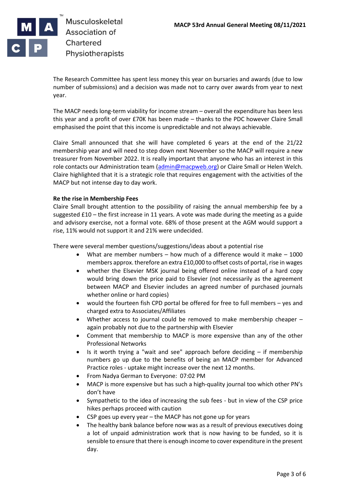

The Research Committee has spent less money this year on bursaries and awards (due to low number of submissions) and a decision was made not to carry over awards from year to next year.

The MACP needs long-term viability for income stream – overall the expenditure has been less this year and a profit of over £70K has been made – thanks to the PDC however Claire Small emphasised the point that this income is unpredictable and not always achievable.

Claire Small announced that she will have completed 6 years at the end of the 21/22 membership year and will need to step down next November so the MACP will require a new treasurer from November 2022. It is really important that anyone who has an interest in this role contacts our Administration team [\(admin@macpweb.org\)](mailto:admin@macpweb.org) or Claire Small or Helen Welch. Claire highlighted that it is a strategic role that requires engagement with the activities of the MACP but not intense day to day work.

# **Re the rise in Membership Fees**

Claire Small brought attention to the possibility of raising the annual membership fee by a suggested £10 – the first increase in 11 years. A vote was made during the meeting as a guide and advisory exercise, not a formal vote. 68% of those present at the AGM would support a rise, 11% would not support it and 21% were undecided.

There were several member questions/suggestions/ideas about a potential rise

- What are member numbers how much of a difference would it make 1000 members approx. therefore an extra £10,000 to offset costs of portal, rise in wages
- whether the Elsevier MSK journal being offered online instead of a hard copy would bring down the price paid to Elsevier (not necessarily as the agreement between MACP and Elsevier includes an agreed number of purchased journals whether online or hard copies)
- would the fourteen fish CPD portal be offered for free to full members yes and charged extra to Associates/Affiliates
- Whether access to journal could be removed to make membership cheaper again probably not due to the partnership with Elsevier
- Comment that membership to MACP is more expensive than any of the other Professional Networks
- Is it worth trying a "wait and see" approach before deciding if membership numbers go up due to the benefits of being an MACP member for Advanced Practice roles - uptake might increase over the next 12 months.
- From Nadya German to Everyone: 07:02 PM
- MACP is more expensive but has such a high-quality journal too which other PN's don't have
- Sympathetic to the idea of increasing the sub fees but in view of the CSP price hikes perhaps proceed with caution
- CSP goes up every year the MACP has not gone up for years
- The healthy bank balance before now was as a result of previous executives doing a lot of unpaid administration work that is now having to be funded, so it is sensible to ensure that there is enough income to cover expenditure in the present day.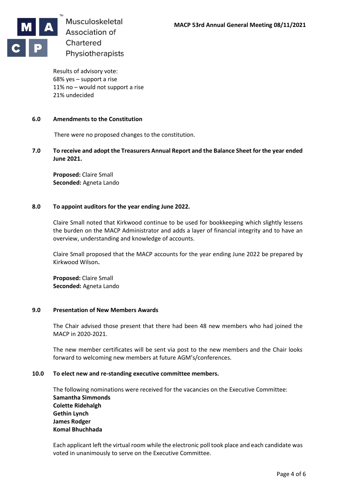

Results of advisory vote: 68% yes – support a rise 11% no – would not support a rise 21% undecided

### **6.0 Amendments to the Constitution**

There were no proposed changes to the constitution.

**7.0 To receive and adopt the Treasurers Annual Report and the Balance Sheet for the year ended June 2021.**

**Proposed:** Claire Small **Seconded:** Agneta Lando

#### **8.0 To appoint auditors for the year ending June 2022.**

Claire Small noted that Kirkwood continue to be used for bookkeeping which slightly lessens the burden on the MACP Administrator and adds a layer of financial integrity and to have an overview, understanding and knowledge of accounts.

Claire Small proposed that the MACP accounts for the year ending June 2022 be prepared by Kirkwood Wilson**.** 

**Proposed:** Claire Small **Seconded:** Agneta Lando

### **9.0 Presentation of New Members Awards**

The Chair advised those present that there had been 48 new members who had joined the MACP in 2020-2021.

The new member certificates will be sent via post to the new members and the Chair looks forward to welcoming new members at future AGM's/conferences.

#### **10.0 To elect new and re-standing executive committee members.**

The following nominations were received for the vacancies on the Executive Committee: **Samantha Simmonds Colette Ridehalgh Gethin Lynch James Rodger Komal Bhuchhada**

Each applicant left the virtual room while the electronic poll took place and each candidate was voted in unanimously to serve on the Executive Committee.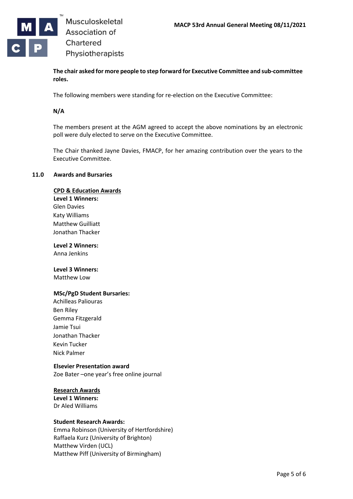

**The chair asked for more people to step forward for Executive Committee and sub-committee roles.**

The following members were standing for re-election on the Executive Committee:

# **N/A**

The members present at the AGM agreed to accept the above nominations by an electronic poll were duly elected to serve on the Executive Committee.

The Chair thanked Jayne Davies, FMACP, for her amazing contribution over the years to the Executive Committee.

#### **11.0 Awards and Bursaries**

#### **CPD & Education Awards**

**Level 1 Winners:** Glen Davies Katy Williams

Matthew Guilliatt Jonathan Thacker

**Level 2 Winners:** Anna Jenkins

# **Level 3 Winners:**

Matthew Low

# **MSc/PgD Student Bursaries:**

Achilleas Paliouras Ben Riley Gemma Fitzgerald Jamie Tsui Jonathan Thacker Kevin Tucker Nick Palmer

# **Elsevier Presentation award**

Zoe Bater –one year's free online journal

#### **Research Awards Level 1 Winners:** Dr Aled Williams

# **Student Research Awards:**

Emma Robinson (University of Hertfordshire) Raffaela Kurz (University of Brighton) Matthew Virden (UCL) Matthew Piff (University of Birmingham)